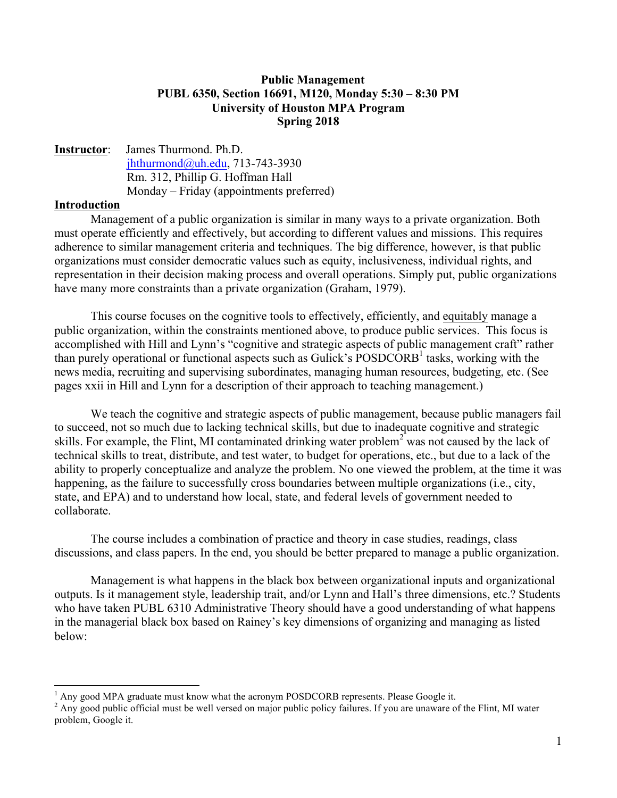#### **Public Management PUBL 6350, Section 16691, M120, Monday 5:30 – 8:30 PM University of Houston MPA Program Spring 2018**

### **Instructor**: James Thurmond. Ph.D. [jhthurmond@uh.edu](mailto:jhthurmond@uh.edu), 713-743-3930 Rm. 312, Phillip G. Hoffman Hall Monday – Friday (appointments preferred)

#### **Introduction**

Management of a public organization is similar in many ways to a private organization. Both must operate efficiently and effectively, but according to different values and missions. This requires adherence to similar management criteria and techniques. The big difference, however, is that public organizations must consider democratic values such as equity, inclusiveness, individual rights, and representation in their decision making process and overall operations. Simply put, public organizations have many more constraints than a private organization (Graham, 1979).

This course focuses on the cognitive tools to effectively, efficiently, and equitably manage a public organization, within the constraints mentioned above, to produce public services. This focus is accomplished with Hill and Lynn's "cognitive and strategic aspects of public management craft" rather than purely operational or functional aspects such as Gulick's  $POSDCORB<sup>1</sup>$  tasks, working with the news media, recruiting and supervising subordinates, managing human resources, budgeting, etc. (See pages xxii in Hill and Lynn for a description of their approach to teaching management.)

We teach the cognitive and strategic aspects of public management, because public managers fail to succeed, not so much due to lacking technical skills, but due to inadequate cognitive and strategic skills. For example, the Flint, MI contaminated drinking water problem<sup>2</sup> was not caused by the lack of technical skills to treat, distribute, and test water, to budget for operations, etc., but due to a lack of the ability to properly conceptualize and analyze the problem. No one viewed the problem, at the time it was happening, as the failure to successfully cross boundaries between multiple organizations (i.e., city, state, and EPA) and to understand how local, state, and federal levels of government needed to collaborate.

The course includes a combination of practice and theory in case studies, readings, class discussions, and class papers. In the end, you should be better prepared to manage a public organization.

Management is what happens in the black box between organizational inputs and organizational outputs. Is it management style, leadership trait, and/or Lynn and Hall's three dimensions, etc.? Students who have taken PUBL 6310 Administrative Theory should have a good understanding of what happens in the managerial black box based on Rainey's key dimensions of organizing and managing as listed below:

 $1$  Any good MPA graduate must know what the acronym POSDCORB represents. Please Google it.

<sup>&</sup>lt;sup>2</sup> Any good public official must be well versed on major public policy failures. If you are unaware of the Flint, MI water problem, Google it.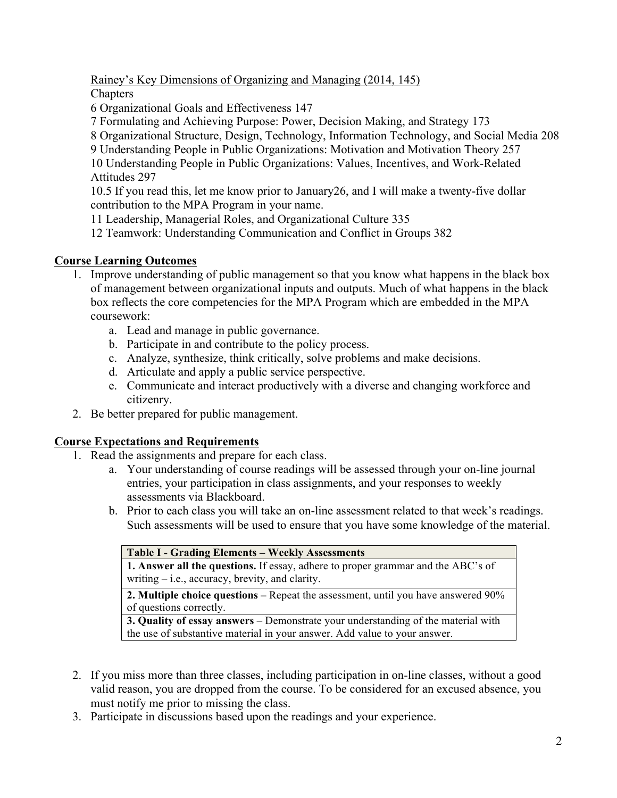Rainey's Key Dimensions of Organizing and Managing (2014, 145)

**Chapters** 

6 Organizational Goals and Effectiveness 147

7 Formulating and Achieving Purpose: Power, Decision Making, and Strategy 173

8 Organizational Structure, Design, Technology, Information Technology, and Social Media 208

9 Understanding People in Public Organizations: Motivation and Motivation Theory 257 10 Understanding People in Public Organizations: Values, Incentives, and Work-Related

Attitudes 297

10.5 If you read this, let me know prior to January26, and I will make a twenty-five dollar contribution to the MPA Program in your name.

11 Leadership, Managerial Roles, and Organizational Culture 335

12 Teamwork: Understanding Communication and Conflict in Groups 382

# **Course Learning Outcomes**

- 1. Improve understanding of public management so that you know what happens in the black box of management between organizational inputs and outputs. Much of what happens in the black box reflects the core competencies for the MPA Program which are embedded in the MPA coursework:
	- a. Lead and manage in public governance.
	- b. Participate in and contribute to the policy process.
	- c. Analyze, synthesize, think critically, solve problems and make decisions.
	- d. Articulate and apply a public service perspective.
	- e. Communicate and interact productively with a diverse and changing workforce and citizenry.
- 2. Be better prepared for public management.

## **Course Expectations and Requirements**

- 1. Read the assignments and prepare for each class.
	- a. Your understanding of course readings will be assessed through your on-line journal entries, your participation in class assignments, and your responses to weekly assessments via Blackboard.
	- b. Prior to each class you will take an on-line assessment related to that week's readings. Such assessments will be used to ensure that you have some knowledge of the material.

| <b>Table I - Grading Elements – Weekly Assessments</b>                                   |
|------------------------------------------------------------------------------------------|
| <b>1. Answer all the questions.</b> If essay, adhere to proper grammar and the ABC's of  |
| writing $-$ i.e., accuracy, brevity, and clarity.                                        |
| <b>2. Multiple choice questions</b> – Repeat the assessment, until you have answered 90% |
| of questions correctly.                                                                  |
| <b>3. Quality of essay answers</b> – Demonstrate your understanding of the material with |
| the use of substantive material in your answer. Add value to your answer.                |

- 2. If you miss more than three classes, including participation in on-line classes, without a good valid reason, you are dropped from the course. To be considered for an excused absence, you must notify me prior to missing the class.
- 3. Participate in discussions based upon the readings and your experience.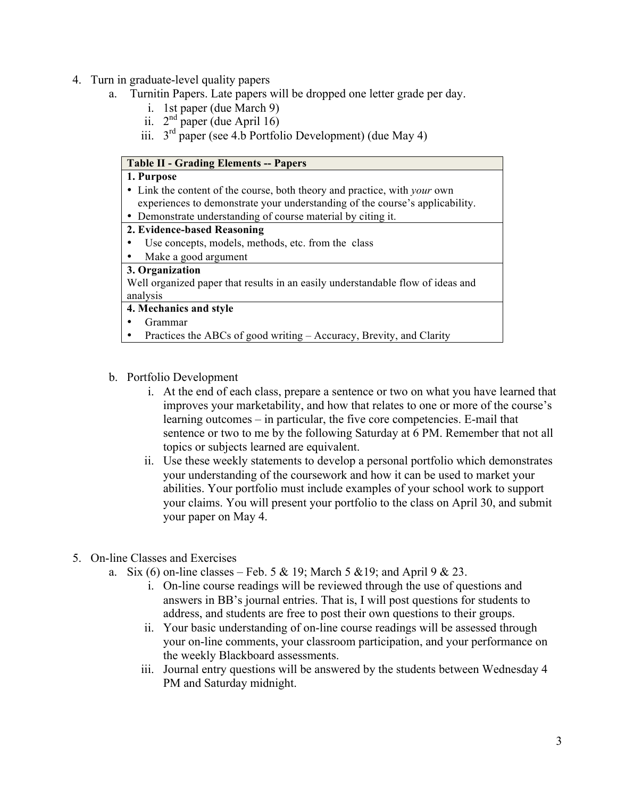- 4. Turn in graduate-level quality papers
	- a. Turnitin Papers. Late papers will be dropped one letter grade per day.
		- i. 1st paper (due March 9)
		- ii.  $2<sup>nd</sup>$  paper (due April 16)
		- iii.  $3<sup>rd</sup>$  paper (see 4.b Portfolio Development) (due May 4)

### **Table II - Grading Elements -- Papers 1. Purpose** • Link the content of the course, both theory and practice, with *your* own experiences to demonstrate your understanding of the course's applicability. • Demonstrate understanding of course material by citing it. **2. Evidence-based Reasoning** Use concepts, models, methods, etc. from the class • Make a good argument **3. Organization** Well organized paper that results in an easily understandable flow of ideas and analysis **4. Mechanics and style** • Grammar • Practices the ABCs of good writing – Accuracy, Brevity, and Clarity

#### b. Portfolio Development

- i. At the end of each class, prepare a sentence or two on what you have learned that improves your marketability, and how that relates to one or more of the course's learning outcomes – in particular, the five core competencies. E-mail that sentence or two to me by the following Saturday at 6 PM. Remember that not all topics or subjects learned are equivalent.
- ii. Use these weekly statements to develop a personal portfolio which demonstrates your understanding of the coursework and how it can be used to market your abilities. Your portfolio must include examples of your school work to support your claims. You will present your portfolio to the class on April 30, and submit your paper on May 4.
- 5. On-line Classes and Exercises
	- a. Six (6) on-line classes Feb. 5 & 19; March 5 & 19; and April 9 & 23.
		- i. On-line course readings will be reviewed through the use of questions and answers in BB's journal entries. That is, I will post questions for students to address, and students are free to post their own questions to their groups.
		- ii. Your basic understanding of on-line course readings will be assessed through your on-line comments, your classroom participation, and your performance on the weekly Blackboard assessments.
		- iii. Journal entry questions will be answered by the students between Wednesday 4 PM and Saturday midnight.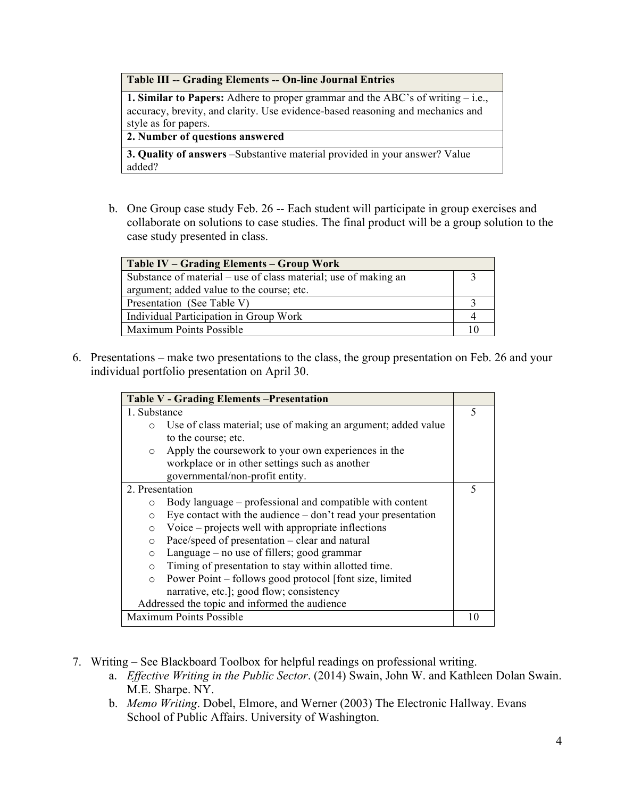**Table III -- Grading Elements -- On-line Journal Entries**

**1. Similar to Papers:** Adhere to proper grammar and the ABC's of writing – i.e., accuracy, brevity, and clarity. Use evidence-based reasoning and mechanics and style as for papers.

**2. Number of questions answered**

**3. Quality of answers** –Substantive material provided in your answer? Value added?

b. One Group case study Feb. 26 -- Each student will participate in group exercises and collaborate on solutions to case studies. The final product will be a group solution to the case study presented in class.

| Table IV – Grading Elements – Group Work                        |  |
|-----------------------------------------------------------------|--|
| Substance of material – use of class material; use of making an |  |
| argument; added value to the course; etc.                       |  |
| Presentation (See Table V)                                      |  |
| Individual Participation in Group Work                          |  |
| Maximum Points Possible                                         |  |

6. Presentations – make two presentations to the class, the group presentation on Feb. 26 and your individual portfolio presentation on April 30.

| <b>Table V - Grading Elements - Presentation</b> |                                                                      |   |
|--------------------------------------------------|----------------------------------------------------------------------|---|
| 1. Substance                                     |                                                                      |   |
| $\circ$                                          | Use of class material; use of making an argument; added value        |   |
|                                                  | to the course; etc.                                                  |   |
| $\circ$                                          | Apply the coursework to your own experiences in the                  |   |
|                                                  | workplace or in other settings such as another                       |   |
|                                                  | governmental/non-profit entity.                                      |   |
| 2. Presentation                                  |                                                                      | 5 |
| $\circ$                                          | Body language – professional and compatible with content             |   |
| $\circ$                                          | Eye contact with the audience $-\text{don't read your presentation}$ |   |
| $\circ$                                          | Voice – projects well with appropriate inflections                   |   |
| $\circ$                                          | Pace/speed of presentation – clear and natural                       |   |
| $\circ$                                          | Language – no use of fillers; good grammar                           |   |
| $\Omega$                                         | Timing of presentation to stay within allotted time.                 |   |
| $\circ$                                          | Power Point – follows good protocol [font size, limited]             |   |
|                                                  | narrative, etc.]; good flow; consistency                             |   |
| Addressed the topic and informed the audience    |                                                                      |   |
| <b>Maximum Points Possible</b>                   |                                                                      |   |

- 7. Writing See Blackboard Toolbox for helpful readings on professional writing.
	- a. *Effective Writing in the Public Sector*. (2014) Swain, John W. and Kathleen Dolan Swain. M.E. Sharpe. NY.
	- b. *Memo Writing*. Dobel, Elmore, and Werner (2003) The Electronic Hallway. Evans School of Public Affairs. University of Washington.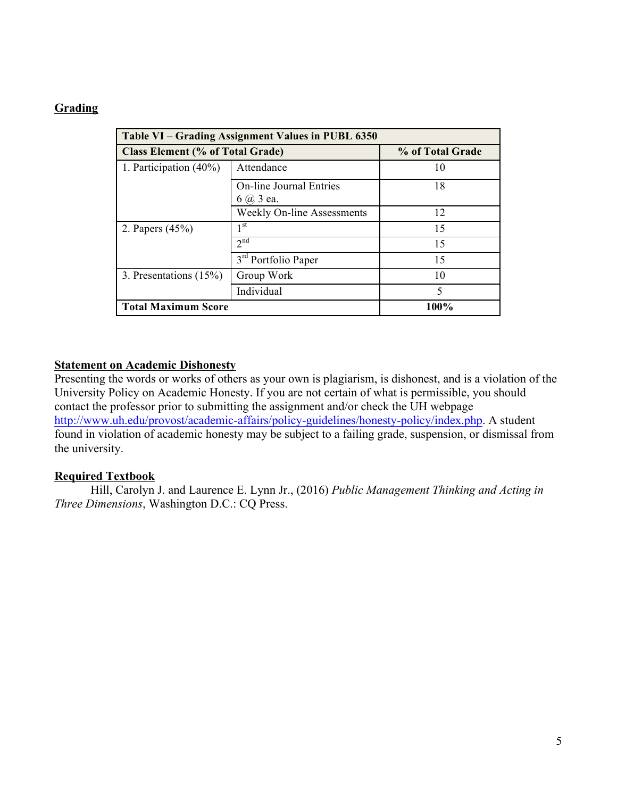## **Grading**

| Table VI - Grading Assignment Values in PUBL 6350 |                                                      |    |  |  |  |
|---------------------------------------------------|------------------------------------------------------|----|--|--|--|
| <b>Class Element (% of Total Grade)</b>           | % of Total Grade                                     |    |  |  |  |
| 1. Participation $(40\%)$                         | Attendance                                           | 10 |  |  |  |
|                                                   | <b>On-line Journal Entries</b><br>$6$ $\omega$ 3 ea. | 18 |  |  |  |
|                                                   | <b>Weekly On-line Assessments</b>                    | 12 |  |  |  |
| 2. Papers $(45%)$                                 | 1 <sup>st</sup>                                      | 15 |  |  |  |
|                                                   | 2 <sup>nd</sup>                                      | 15 |  |  |  |
|                                                   | 3 <sup>rd</sup> Portfolio Paper                      | 15 |  |  |  |
| 3. Presentations (15%)                            | Group Work                                           | 10 |  |  |  |
|                                                   | Individual                                           | 5  |  |  |  |
| <b>Total Maximum Score</b>                        | 100%                                                 |    |  |  |  |

#### **Statement on Academic Dishonesty**

Presenting the words or works of others as your own is plagiarism, is dishonest, and is a violation of the University Policy on Academic Honesty. If you are not certain of what is permissible, you should contact the professor prior to submitting the assignment and/or check the UH webpage [http://www.uh.edu/provost/academic-affairs/policy-guidelines/honesty-policy/index.php.](http://www.uh.edu/provost/academic-affairs/policy-guidelines/honesty-policy/index.php) A student found in violation of academic honesty may be subject to a failing grade, suspension, or dismissal from the university.

## **Required Textbook**

Hill, Carolyn J. and Laurence E. Lynn Jr., (2016) *Public Management Thinking and Acting in Three Dimensions*, Washington D.C.: CQ Press.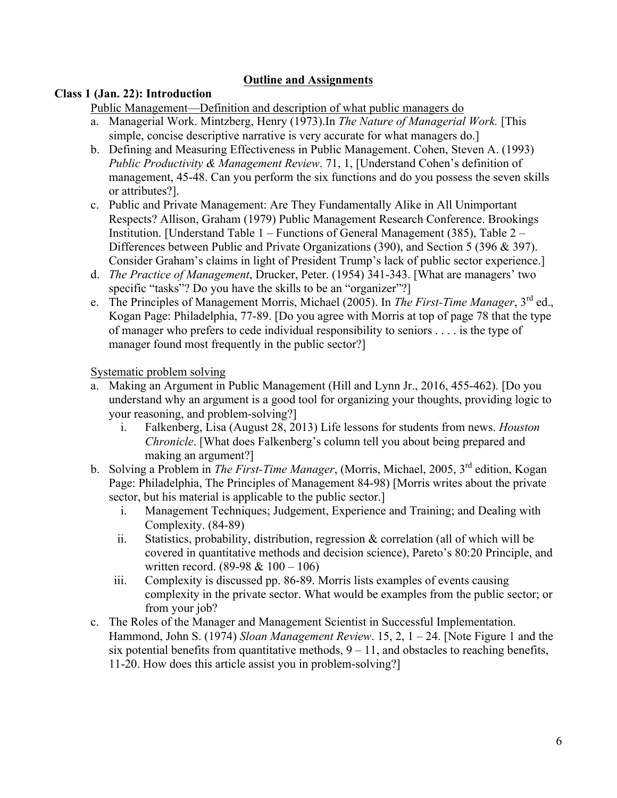## **Outline and Assignments**

## **Class 1 (Jan. 22): Introduction**

Public Management—Definition and description of what public managers do

- a. Managerial Work. Mintzberg, Henry (1973).In *The Nature of Managerial Work.* [This simple, concise descriptive narrative is very accurate for what managers do.]
- b. Defining and Measuring Effectiveness in Public Management. Cohen, Steven A. (1993) *Public Productivity & Management Review*. 71, 1, [Understand Cohen's definition of management, 45-48. Can you perform the six functions and do you possess the seven skills or attributes?].
- c. Public and Private Management: Are They Fundamentally Alike in All Unimportant Respects? Allison, Graham (1979) Public Management Research Conference. Brookings Institution. [Understand Table 1 – Functions of General Management (385), Table 2 – Differences between Public and Private Organizations (390), and Section 5 (396 & 397). Consider Graham's claims in light of President Trump's lack of public sector experience.]
- d. *The Practice of Management*, Drucker, Peter. (1954) 341-343. [What are managers' two specific "tasks"? Do you have the skills to be an "organizer"?
- e. The Principles of Management Morris, Michael (2005). In *The First-Time Manager*, 3rd ed., Kogan Page: Philadelphia, 77-89. [Do you agree with Morris at top of page 78 that the type of manager who prefers to cede individual responsibility to seniors . . . . is the type of manager found most frequently in the public sector?]

Systematic problem solving

- a. Making an Argument in Public Management (Hill and Lynn Jr., 2016, 455-462). [Do you understand why an argument is a good tool for organizing your thoughts, providing logic to your reasoning, and problem-solving?]
	- i. Falkenberg, Lisa (August 28, 2013) Life lessons for students from news. *Houston Chronicle*. [What does Falkenberg's column tell you about being prepared and making an argument?]
- b. Solving a Problem in *The First-Time Manager*, (Morris, Michael, 2005, 3rd edition, Kogan Page: Philadelphia, The Principles of Management 84-98) [Morris writes about the private sector, but his material is applicable to the public sector.
	- i. Management Techniques; Judgement, Experience and Training; and Dealing with Complexity. (84-89)
	- ii. Statistics, probability, distribution, regression & correlation (all of which will be covered in quantitative methods and decision science), Pareto's 80:20 Principle, and written record.  $(89-98 \& 100 - 106)$
	- iii. Complexity is discussed pp. 86-89. Morris lists examples of events causing complexity in the private sector. What would be examples from the public sector; or from your job?
- c. The Roles of the Manager and Management Scientist in Successful Implementation. Hammond, John S. (1974) *Sloan Management Review*. 15, 2, 1 – 24. [Note Figure 1 and the six potential benefits from quantitative methods,  $9 - 11$ , and obstacles to reaching benefits, 11-20. How does this article assist you in problem-solving?]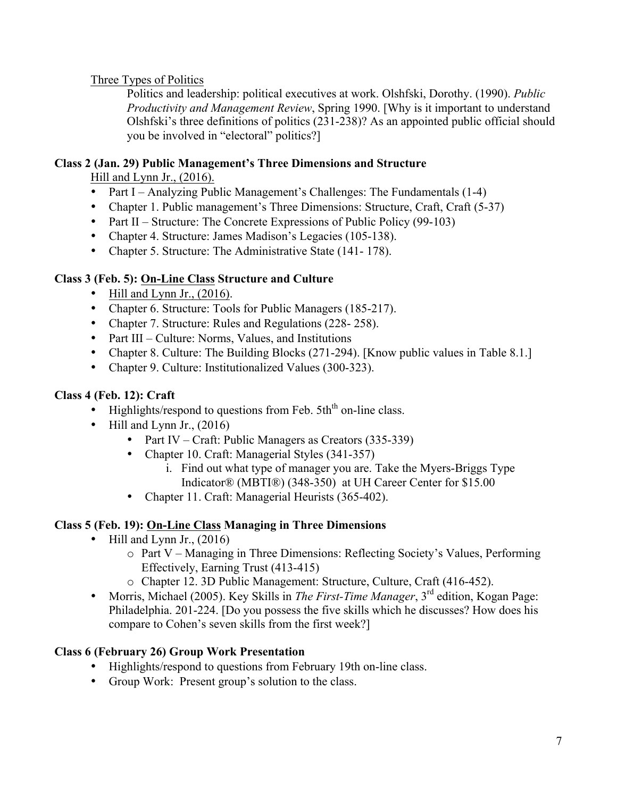Three Types of Politics

Politics and leadership: political executives at work. Olshfski, Dorothy. (1990). *Public Productivity and Management Review*, Spring 1990. [Why is it important to understand Olshfski's three definitions of politics (231-238)? As an appointed public official should you be involved in "electoral" politics?]

# **Class 2 (Jan. 29) Public Management's Three Dimensions and Structure**

Hill and Lynn Jr., (2016).

- Part I Analyzing Public Management's Challenges: The Fundamentals (1-4)
- Chapter 1. Public management's Three Dimensions: Structure, Craft, Craft (5-37)
- Part II Structure: The Concrete Expressions of Public Policy (99-103)
- Chapter 4. Structure: James Madison's Legacies (105-138).
- Chapter 5. Structure: The Administrative State (141-178).

# **Class 3 (Feb. 5): On-Line Class Structure and Culture**

- Hill and Lynn Jr.,  $(2016)$ .
- Chapter 6. Structure: Tools for Public Managers (185-217).
- Chapter 7. Structure: Rules and Regulations (228-258).
- Part III Culture: Norms, Values, and Institutions
- Chapter 8. Culture: The Building Blocks (271-294). [Know public values in Table 8.1.]
- Chapter 9. Culture: Institutionalized Values (300-323).

# **Class 4 (Feb. 12): Craft**

- Highlights/respond to questions from Feb.  $5th<sup>th</sup>$  on-line class.
- Hill and Lynn Jr.,  $(2016)$ 
	- Part IV Craft: Public Managers as Creators (335-339)
	- Chapter 10. Craft: Managerial Styles (341-357)
		- i. Find out what type of manager you are. Take the Myers-Briggs Type Indicator® (MBTI®) (348-350) at UH Career Center for \$15.00
	- Chapter 11. Craft: Managerial Heurists (365-402).

## **Class 5 (Feb. 19): On-Line Class Managing in Three Dimensions**

- Hill and Lynn Jr.,  $(2016)$ 
	- o Part V Managing in Three Dimensions: Reflecting Society's Values, Performing Effectively, Earning Trust (413-415)
	- o Chapter 12. 3D Public Management: Structure, Culture, Craft (416-452).
- Morris, Michael (2005). Key Skills in *The First-Time Manager*, 3rd edition, Kogan Page: Philadelphia. 201-224. [Do you possess the five skills which he discusses? How does his compare to Cohen's seven skills from the first week?]

## **Class 6 (February 26) Group Work Presentation**

- Highlights/respond to questions from February 19th on-line class.
- Group Work: Present group's solution to the class.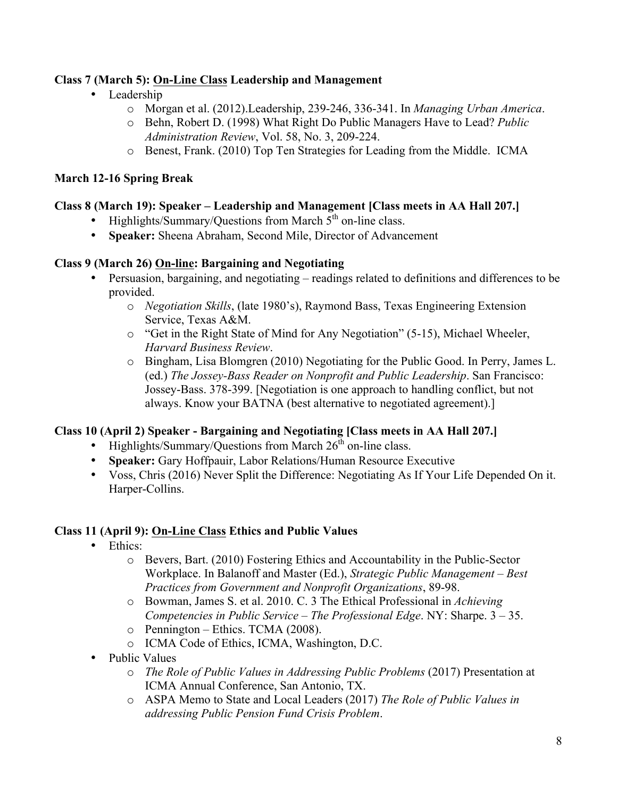## **Class 7 (March 5): On-Line Class Leadership and Management**

- Leadership
	- o Morgan et al. (2012).Leadership, 239-246, 336-341. In *Managing Urban America*.
	- o Behn, Robert D. (1998) What Right Do Public Managers Have to Lead? *Public Administration Review*, Vol. 58, No. 3, 209-224.
	- o Benest, Frank. (2010) Top Ten Strategies for Leading from the Middle. ICMA

### **March 12-16 Spring Break**

#### **Class 8 (March 19): Speaker – Leadership and Management [Class meets in AA Hall 207.]**

- Highlights/Summary/Questions from March  $\bar{5}^{th}$  on-line class.
- **Speaker:** Sheena Abraham, Second Mile, Director of Advancement

#### **Class 9 (March 26) On-line: Bargaining and Negotiating**

- Persuasion, bargaining, and negotiating readings related to definitions and differences to be provided.
	- o *Negotiation Skills*, (late 1980's), Raymond Bass, Texas Engineering Extension Service, Texas A&M.
	- o "Get in the Right State of Mind for Any Negotiation" (5-15), Michael Wheeler, *Harvard Business Review*.
	- o Bingham, Lisa Blomgren (2010) Negotiating for the Public Good. In Perry, James L. (ed.) *The Jossey-Bass Reader on Nonprofit and Public Leadership*. San Francisco: Jossey-Bass. 378-399. [Negotiation is one approach to handling conflict, but not always. Know your BATNA (best alternative to negotiated agreement).]

## **Class 10 (April 2) Speaker - Bargaining and Negotiating [Class meets in AA Hall 207.]**

- Highlights/Summary/Questions from March  $26<sup>th</sup>$  on-line class.
- **Speaker:** Gary Hoffpauir, Labor Relations/Human Resource Executive
- Voss, Chris (2016) Never Split the Difference: Negotiating As If Your Life Depended On it. Harper-Collins.

## **Class 11 (April 9): On-Line Class Ethics and Public Values**

- Ethics<sup>•</sup>
	- o Bevers, Bart. (2010) Fostering Ethics and Accountability in the Public-Sector Workplace. In Balanoff and Master (Ed.), *Strategic Public Management – Best Practices from Government and Nonprofit Organizations*, 89-98.
	- o Bowman, James S. et al. 2010. C. 3 The Ethical Professional in *Achieving Competencies in Public Service – The Professional Edge*. NY: Sharpe. 3 – 35.
	- o Pennington Ethics. TCMA (2008).
	- o ICMA Code of Ethics, ICMA, Washington, D.C.
- Public Values
	- o *The Role of Public Values in Addressing Public Problems* (2017) Presentation at ICMA Annual Conference, San Antonio, TX.
	- o ASPA Memo to State and Local Leaders (2017) *The Role of Public Values in addressing Public Pension Fund Crisis Problem*.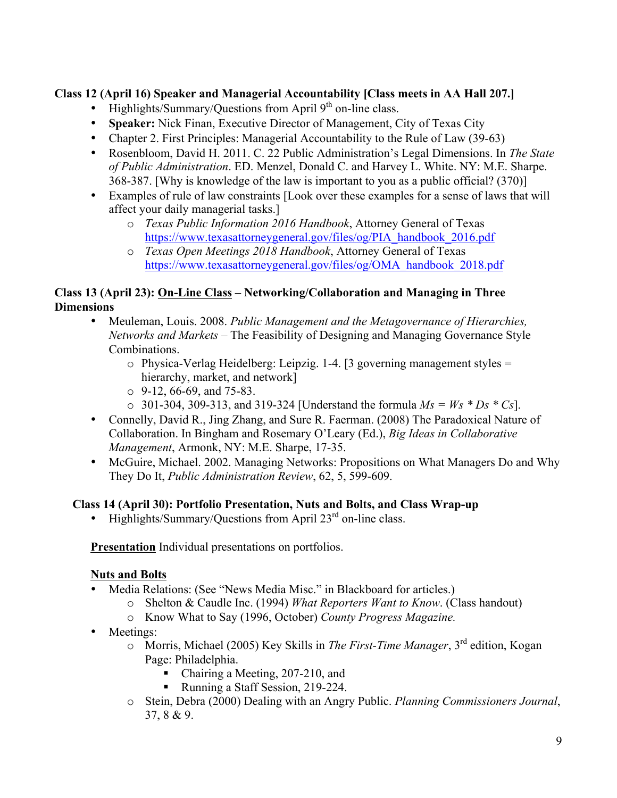## **Class 12 (April 16) Speaker and Managerial Accountability [Class meets in AA Hall 207.]**

- Highlights/Summary/Questions from April  $9<sup>th</sup>$  on-line class.
- **Speaker:** Nick Finan, Executive Director of Management, City of Texas City
- Chapter 2. First Principles: Managerial Accountability to the Rule of Law (39-63)
- Rosenbloom, David H. 2011. C. 22 Public Administration's Legal Dimensions. In *The State of Public Administration*. ED. Menzel, Donald C. and Harvey L. White. NY: M.E. Sharpe. 368-387. [Why is knowledge of the law is important to you as a public official? (370)]
- Examples of rule of law constraints [Look over these examples for a sense of laws that will affect your daily managerial tasks.]
	- o *Texas Public Information 2016 Handbook*, Attorney General of Texas [https://www.texasattorneygeneral.gov/files/og/PIA\\_handbook\\_2016.pdf](https://www.texasattorneygeneral.gov/files/og/PIA_handbook_2016.pdf)
	- o *Texas Open Meetings 2018 Handbook*, Attorney General of Texas [https://www.texasattorneygeneral.gov/files/og/OMA\\_handbook\\_2018.pdf](https://www.texasattorneygeneral.gov/files/og/OMA_handbook_2018.pdf)

## **Class 13 (April 23): On-Line Class – Networking/Collaboration and Managing in Three Dimensions**

- Meuleman, Louis. 2008. *Public Management and the Metagovernance of Hierarchies, Networks and Markets* – The Feasibility of Designing and Managing Governance Style Combinations.
	- $\circ$  Physica-Verlag Heidelberg: Leipzig. 1-4. [3 governing management styles = hierarchy, market, and network]
	- $\circ$  9-12, 66-69, and 75-83.
	- $\circ$  301-304, 309-313, and 319-324 [Understand the formula  $Ms = Ws * Ds * Cs$ ].
- Connelly, David R., Jing Zhang, and Sure R. Faerman. (2008) The Paradoxical Nature of Collaboration. In Bingham and Rosemary O'Leary (Ed.), *Big Ideas in Collaborative Management*, Armonk, NY: M.E. Sharpe, 17-35.
- McGuire, Michael. 2002. Managing Networks: Propositions on What Managers Do and Why They Do It, *Public Administration Review*, 62, 5, 599-609.

## **Class 14 (April 30): Portfolio Presentation, Nuts and Bolts, and Class Wrap-up**

• Highlights/Summary/Ouestions from April  $23<sup>rd</sup>$  on-line class.

**Presentation** Individual presentations on portfolios.

## **Nuts and Bolts**

- Media Relations: (See "News Media Misc." in Blackboard for articles.)
	- o Shelton & Caudle Inc. (1994) *What Reporters Want to Know*. (Class handout)
	- o Know What to Say (1996, October) *County Progress Magazine.*
- Meetings:
	- o Morris, Michael (2005) Key Skills in *The First-Time Manager*, 3rd edition, Kogan Page: Philadelphia.
		- Chairing a Meeting, 207-210, and
		- Running a Staff Session, 219-224.
	- o Stein, Debra (2000) Dealing with an Angry Public. *Planning Commissioners Journal*, 37, 8 & 9.